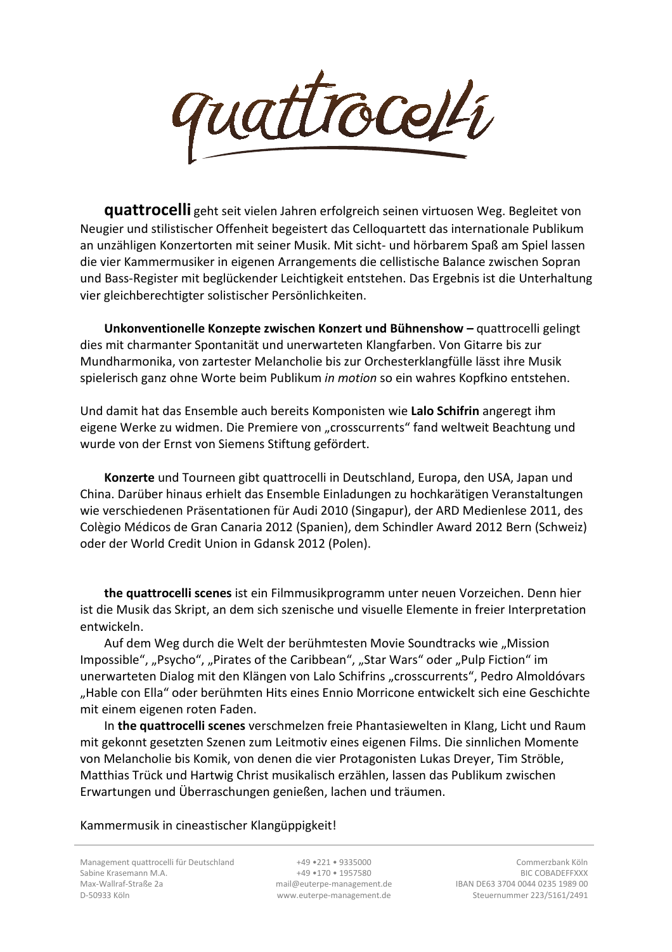

**quattrocelli** geht seit vielen Jahren erfolgreich seinen virtuosen Weg. Begleitet von Neugier und stilistischer Offenheit begeistert das Celloquartett das internationale Publikum an unzähligen Konzertorten mit seiner Musik. Mit sicht- und hörbarem Spaß am Spiel lassen die vier Kammermusiker in eigenen Arrangements die cellistische Balance zwischen Sopran und Bass-Register mit beglückender Leichtigkeit entstehen. Das Ergebnis ist die Unterhaltung vier gleichberechtigter solistischer Persönlichkeiten.

Unkonventionelle Konzepte zwischen Konzert und Bühnenshow - quattrocelli gelingt dies mit charmanter Spontanität und unerwarteten Klangfarben. Von Gitarre bis zur Mundharmonika, von zartester Melancholie bis zur Orchesterklangfülle lässt ihre Musik spielerisch ganz ohne Worte beim Publikum *in motion* so ein wahres Kopfkino entstehen.

Und damit hat das Ensemble auch bereits Komponisten wie **Lalo Schifrin** angeregt ihm eigene Werke zu widmen. Die Premiere von "crosscurrents" fand weltweit Beachtung und wurde von der Ernst von Siemens Stiftung gefördert.

**Konzerte** und Tourneen gibt quattrocelli in Deutschland, Europa, den USA, Japan und China. Darüber hinaus erhielt das Ensemble Einladungen zu hochkarätigen Veranstaltungen wie verschiedenen Präsentationen für Audi 2010 (Singapur), der ARD Medienlese 2011, des Colègio Médicos de Gran Canaria 2012 (Spanien), dem Schindler Award 2012 Bern (Schweiz) oder der World Credit Union in Gdansk 2012 (Polen).

**the quattrocelli scenes** ist ein Filmmusikprogramm unter neuen Vorzeichen. Denn hier ist die Musik das Skript, an dem sich szenische und visuelle Elemente in freier Interpretation entwickeln.

Auf dem Weg durch die Welt der berühmtesten Movie Soundtracks wie "Mission Impossible", "Psycho", "Pirates of the Caribbean", "Star Wars" oder "Pulp Fiction" im unerwarteten Dialog mit den Klängen von Lalo Schifrins "crosscurrents", Pedro Almoldóvars "Hable con Ella" oder berühmten Hits eines Ennio Morricone entwickelt sich eine Geschichte mit einem eigenen roten Faden.

In **the quattrocelli scenes** verschmelzen freie Phantasiewelten in Klang, Licht und Raum mit gekonnt gesetzten Szenen zum Leitmotiv eines eigenen Films. Die sinnlichen Momente von Melancholie bis Komik, von denen die vier Protagonisten Lukas Dreyer, Tim Ströble, Matthias Trück und Hartwig Christ musikalisch erzählen, lassen das Publikum zwischen Erwartungen und Überraschungen genießen, lachen und träumen.

Kammermusik in cineastischer Klangüppigkeit!

Management quattrocelli für Deutschland Sabine Krasemann M.A. Max-Wallraf-Straße 2a D-50933 Köln

+49 •221 • 9335000 +49 •170 • 1957580 mail@euterpe-management.de www.euterpe-management.de

Commerzbank Köln BIC COBADEFFXXX IBAN DE63 3704 0044 0235 1989 00 Steuernummer 223/5161/2491